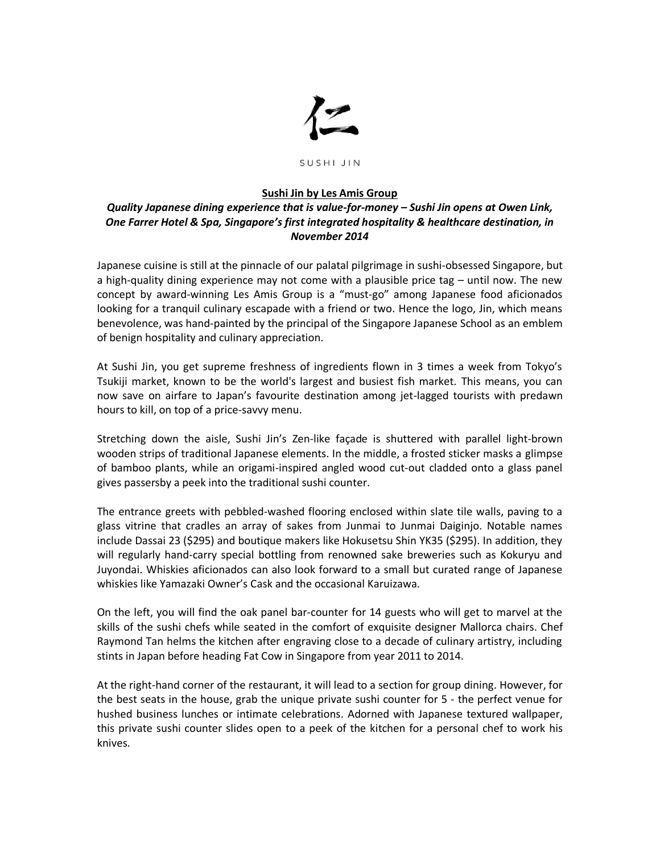

## SUSHI JIN

## **Sushi Jin by Les Amis Group**

## *Quality Japanese dining experience that is value-for-money – Sushi Jin opens at Owen Link, One Farrer Hotel & Spa, Singapore's first integrated hospitality & healthcare destination, in November 2014*

Japanese cuisine is still at the pinnacle of our palatal pilgrimage in sushi-obsessed Singapore, but a high-quality dining experience may not come with a plausible price tag – until now. The new concept by award-winning Les Amis Group is a "must-go" among Japanese food aficionados looking for a tranquil culinary escapade with a friend or two. Hence the logo, Jin, which means benevolence, was hand-painted by the principal of the Singapore Japanese School as an emblem of benign hospitality and culinary appreciation.

At Sushi Jin, you get supreme freshness of ingredients flown in 3 times a week from Tokyo's Tsukiji market, known to be the world's largest and busiest fish market. This means, you can now save on airfare to Japan's favourite destination among jet-lagged tourists with predawn hours to kill, on top of a price-savvy menu.

Stretching down the aisle, Sushi Jin's Zen-like façade is shuttered with parallel light-brown wooden strips of traditional Japanese elements. In the middle, a frosted sticker masks a glimpse of bamboo plants, while an origami-inspired angled wood cut-out cladded onto a glass panel gives passersby a peek into the traditional sushi counter.

The entrance greets with pebbled-washed flooring enclosed within slate tile walls, paving to a glass vitrine that cradles an array of sakes from Junmai to Junmai Daiginjo. Notable names include Dassai 23 (\$295) and boutique makers like Hokusetsu Shin YK35 (\$295). In addition, they will regularly hand-carry special bottling from renowned sake breweries such as Kokuryu and Juyondai. Whiskies aficionados can also look forward to a small but curated range of Japanese whiskies like Yamazaki Owner's Cask and the occasional Karuizawa.

On the left, you will find the oak panel bar-counter for 14 guests who will get to marvel at the skills of the sushi chefs while seated in the comfort of exquisite designer Mallorca chairs. Chef Raymond Tan helms the kitchen after engraving close to a decade of culinary artistry, including stints in Japan before heading Fat Cow in Singapore from year 2011 to 2014.

At the right-hand corner of the restaurant, it will lead to a section for group dining. However, for the best seats in the house, grab the unique private sushi counter for 5 - the perfect venue for hushed business lunches or intimate celebrations. Adorned with Japanese textured wallpaper, this private sushi counter slides open to a peek of the kitchen for a personal chef to work his knives.